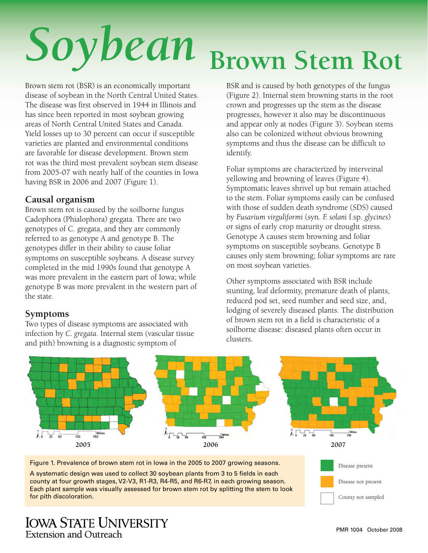# *Soybean* **Brown Stem Rot**

Brown stem rot (BSR) is an economically important disease of soybean in the North Central United States. The disease was first observed in 1944 in Illinois and has since been reported in most soybean growing areas of North Central United States and Canada. Yield losses up to 30 percent can occur if susceptible varieties are planted and environmental conditions are favorable for disease development. Brown stem rot was the third most prevalent soybean stem disease from 2005-07 with nearly half of the counties in Iowa having BSR in 2006 and 2007 (Figure 1).

## **Causal organism**

Brown stem rot is caused by the soilborne fungus Cadophora (Phialophora) gregata. There are two genotypes of C. gregata, and they are commonly referred to as genotype A and genotype B. The genotypes differ in their ability to cause foliar symptoms on susceptible soybeans. A disease survey completed in the mid 1990s found that genotype A was more prevalent in the eastern part of Iowa; while genotype B was more prevalent in the western part of the state.

## **Symptoms**

Two types of disease symptoms are associated with infection by *C. gregata*. Internal stem (vascular tissue and pith) browning is a diagnostic symptom of

BSR and is caused by both genotypes of the fungus (Figure 2). Internal stem browning starts in the root crown and progresses up the stem as the disease progresses, however it also may be discontinuous and appear only at nodes (Figure 3). Soybean stems also can be colonized without obvious browning symptoms and thus the disease can be difficult to identify.

Foliar symptoms are characterized by interveinal yellowing and browning of leaves (Figure 4). Symptomatic leaves shrivel up but remain attached to the stem. Foliar symptoms easily can be confused with those of sudden death syndrome (SDS) caused by *Fusarium virguliformi* (syn. *F. solani* f.sp. *glycines*) or signs of early crop maturity or drought stress. Genotype A causes stem browning and foliar symptoms on susceptible soybeans. Genotype B causes only stem browning; foliar symptoms are rare on most soybean varieties.

Other symptoms associated with BSR include stunting, leaf deformity, premature death of plants, reduced pod set, seed number and seed size, and, lodging of severely diseased plants. The distribution of brown stem rot in a field is characteristic of a soilborne disease: diseased plants often occur in clusters.



A systematic design was used to collect 30 soybean plants from 3 to 5 fields in each county at four growth stages, V2-V3, R1-R3, R4-R5, and R6-R7, in each growing season. Each plant sample was visually assessed for brown stem rot by splitting the stem to look for pith discoloration.

# **IOWA STATE UNIVERSITY Extension and Outreach**

Disease not present

County not sampled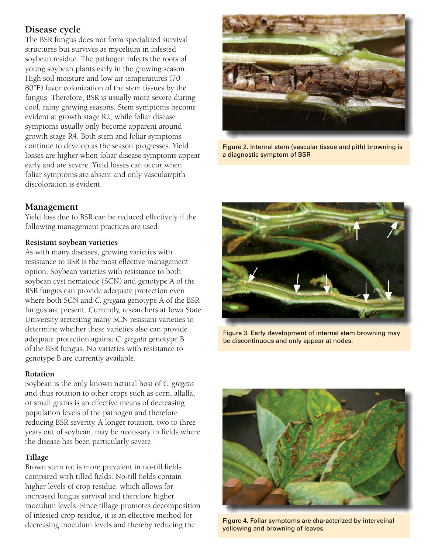# **Disease cycle**

The BSR fungus does not form specialized survival structures but survives as mycelium in infested soybean residue. The pathogen infects the roots of young soybean plants early in the growing season. High soil moisture and low air temperatures (70- 80°F) favor colonization of the stem tissues by the fungus. Therefore, BSR is usually more severe during cool, rainy growing seasons. Stem symptoms become evident at growth stage R2, while foliar disease symptoms usually only become apparent around growth stage R4. Both stem and foliar symptoms continue to develop as the season progresses. Yield losses are higher when foliar disease symptoms appear early and are severe. Yield losses can occur when foliar symptoms are absent and only vascular/pith discoloration is evident.



Yield loss due to BSR can be reduced effectively if the following management practices are used.

#### **Resistant soybean varieties**

As with many diseases, growing varieties with resistance to BSR is the most effective management option. Soybean varieties with resistance to both soybean cyst nematode (SCN) and genotype A of the BSR fungus can provide adequate protection even where both SCN and *C. gregata* genotype A of the BSR fungus are present. Currently, researchers at Iowa State University aretesting many SCN resistant varieties to determine whether these varieties also can provide adequate protection against *C. gregata* genotype B of the BSR fungus. No varieties with resistance to genotype B are currently available.

#### **Rotation**

Soybean is the only known natural host of *C. gregata* and thus rotation to other crops such as corn, alfalfa, or small grains is an effective means of decreasing population levels of the pathogen and therefore reducing BSR severity. A longer rotation, two to three years out of soybean, may be necessary in fields where the disease has been particularly severe.

#### **Tillage**

Brown stem rot is more prevalent in no-till fields compared with tilled fields. No-till fields contain higher levels of crop residue, which allows for increased fungus survival and therefore higher inoculum levels. Since tillage promotes decomposition of infested crop residue, it is an effective method for decreasing inoculum levels and thereby reducing the



Figure 2. Internal stem (vascular tissue and pith) browning is a diagnostic symptom of BSR



Figure 3. Early development of internal stem browning may be discontinuous and only appear at nodes.



Figure 4. Foliar symptoms are characterized by interveinal yellowing and browning of leaves.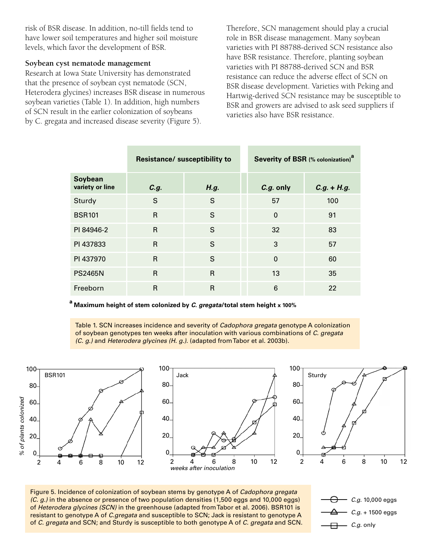risk of BSR disease. In addition, no-till fields tend to have lower soil temperatures and higher soil moisture levels, which favor the development of BSR.

#### **Soybean cyst nematode management**

Research at Iowa State University has demonstrated that the presence of soybean cyst nematode (SCN, Heterodera glycines) increases BSR disease in numerous soybean varieties (Table 1). In addition, high numbers of SCN result in the earlier colonization of soybeans by C. gregata and increased disease severity (Figure 5).

Therefore, SCN management should play a crucial role in BSR disease management. Many soybean varieties with PI 88788-derived SCN resistance also have BSR resistance. Therefore, planting soybean varieties with PI 88788-derived SCN and BSR resistance can reduce the adverse effect of SCN on BSR disease development. Varieties with Peking and Hartwig-derived SCN resistance may be susceptible to BSR and growers are advised to ask seed suppliers if varieties also have BSR resistance.

|                            | <b>Resistance/ susceptibility to</b> |                | Severity of BSR (% colonization) <sup>a</sup> |               |
|----------------------------|--------------------------------------|----------------|-----------------------------------------------|---------------|
| Soybean<br>variety or line | C.g.                                 | H.g.           | C.g. only                                     | $C.g. + H.g.$ |
| Sturdy                     | S                                    | S              | 57                                            | 100           |
| <b>BSR101</b>              | R                                    | S              | $\mathbf{0}$                                  | 91            |
| PI 84946-2                 | $\mathsf{R}$                         | S              | 32                                            | 83            |
| PI 437833                  | R                                    | S              | 3                                             | 57            |
| PI 437970                  | R                                    | S              | $\Omega$                                      | 60            |
| <b>PS2465N</b>             | $\mathsf{R}$                         | $\mathsf{R}$   | 13                                            | 35            |
| Freeborn                   | R                                    | $\overline{R}$ | 6                                             | 22            |

**a Maximum height of stem colonized by** *C. gregata***/total stem height x 100%**

Table 1. SCN increases incidence and severity of *Cadophora gregata* genotype A colonization of soybean genotypes ten weeks after inoculation with various combinations of *C. gregata (C. g.)* and *Heterodera glycines (H. g.)*. (adapted from Tabor et al. 2003b).



Figure 5. Incidence of colonization of soybean stems by genotype A of *Cadophora gregata (C. g.)* in the absence or presence of two population densities (1,500 eggs and 10,000 eggs) of *Heterodera glycines (SCN)* in the greenhouse (adapted from Tabor et al. 2006). BSR101 is resistant to genotype A of *C.gregata* and susceptible to SCN; Jack is resistant to genotype A of *C. gregata* and SCN; and Sturdy is susceptible to both genotype A of *C. gregata* and SCN.